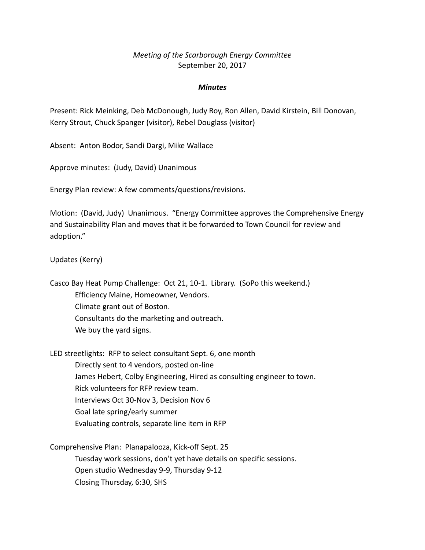## *Meeting of the Scarborough Energy Committee* September 20, 2017

## *Minutes*

Present: Rick Meinking, Deb McDonough, Judy Roy, Ron Allen, David Kirstein, Bill Donovan, Kerry Strout, Chuck Spanger (visitor), Rebel Douglass (visitor)

Absent: Anton Bodor, Sandi Dargi, Mike Wallace

Approve minutes: (Judy, David) Unanimous

Energy Plan review: A few comments/questions/revisions.

Motion: (David, Judy) Unanimous. "Energy Committee approves the Comprehensive Energy and Sustainability Plan and moves that it be forwarded to Town Council for review and adoption."

Updates (Kerry)

Casco Bay Heat Pump Challenge: Oct 21, 10-1. Library. (SoPo this weekend.) Efficiency Maine, Homeowner, Vendors. Climate grant out of Boston. Consultants do the marketing and outreach. We buy the yard signs.

LED streetlights: RFP to select consultant Sept. 6, one month Directly sent to 4 vendors, posted on-line James Hebert, Colby Engineering, Hired as consulting engineer to town. Rick volunteers for RFP review team. Interviews Oct 30-Nov 3, Decision Nov 6 Goal late spring/early summer Evaluating controls, separate line item in RFP

Comprehensive Plan: Planapalooza, Kick-off Sept. 25 Tuesday work sessions, don't yet have details on specific sessions. Open studio Wednesday 9-9, Thursday 9-12 Closing Thursday, 6:30, SHS